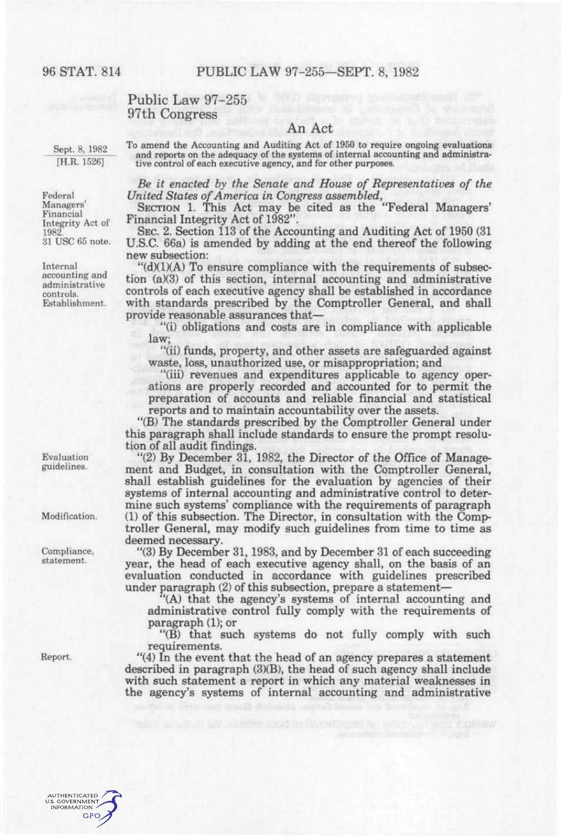## Public Law 97-255 97th Congress

Sept. 8, 1982 [H.R. 1526]

To amend the Accounting and Auditing Act of 1950 to require ongoing evaluations and reports on the adequacy of the systems of internal accounting and administrative control of each executive agency, and for other purposes.

An Act

*Be it enacted by the Senate and House of Representatives of the United States of America in Congress assembled,* 

SECTION 1. This Act may be cited as the "Federal Managers' Financial Integrity Act of 1982".

SEC. 2. Section 113 of the Accounting and Auditing Act of 1950 (31 U.S.C. 66a) is amended by adding at the end thereof the following new subsection:

 $H(d)(1)(A)$  To ensure compliance with the requirements of subsection (a)(3) of this section, internal accounting and administrative controls of each executive agency shall be established in accordance with standards prescribed by the Comptroller General, and shall provide reasonable assurances that—

"(i) obligations and costs are in compliance with applicable law;

"(ii) funds, property, and other assets are safeguarded against waste, loss, unauthorized use, or misappropriation; and

"(iii) revenues and expenditures applicable to agency operations are properly recorded and accounted for to permit the preparation of accounts and reliable financial and statistical reports and to maintain accountability over the assets.

"(B) The standards prescribed by the Comptroller General under this paragraph shall include standards to ensure the prompt resolution of all audit findings.

"(2) By December 31, 1982, the Director of the Office of Management and Budget, in consultation with the Comptroller General, shall establish guidelines for the evaluation by agencies of their systems of internal accounting and administrative control to determine such systems' compliance with the requirements of paragraph (1) of this subsection. The Director, in consultation with the Comptroller General, may modify such guidelines from time to time as deemed necessary.

"(3) By December 31,1983, and by December 31 of each succeeding year, the head of each executive agency shall, on the basis of an evaluation conducted in accordance with guidelines prescribed under paragraph (2) of this subsection, prepare a statement—

"(A) that the agency's systems of internal accounting and administrative control fully comply with the requirements of paragraph (1); or

"(B) that such systems do not fully comply with such requirements.

"(4) In the event that the head of an agency prepares a statement described in paragraph (3)(B), the head of such agency shall include with such statement a report in which any material weaknesses in the agency's systems of internal accounting and administrative

Federal Managers' Financial Integrity Act of 1982 31 USC 65 note.

Internal accounting and administrative controls. Establishment.

Evaluation guidelines.

Modification.

Compliance, statement.

Report.